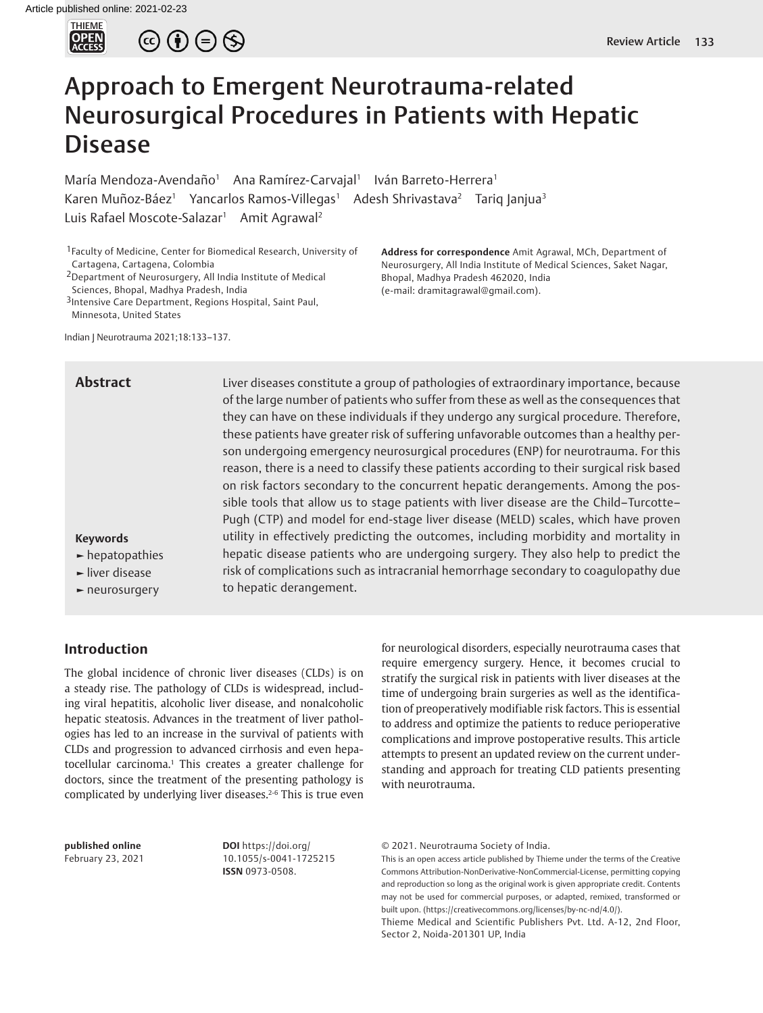

 $\circledcirc \oplus \circledcirc$ 

# Approach to Emergent Neurotrauma-related Neurosurgical Procedures in Patients with Hepatic Disease

María Mendoza-Avendaño<sup>1</sup> Ana Ramírez-Carvajal<sup>1</sup> Iván Barreto-Herrera<sup>1</sup> Karen Muñoz-Báez<sup>1</sup> Yancarlos Ramos-Villegas<sup>1</sup> Adesh Shrivastava<sup>2</sup> Tariq Janjua<sup>3</sup> Luis Rafael Moscote-Salazar<sup>1</sup> Amit Agrawal<sup>2</sup>

1Faculty of Medicine, Center for Biomedical Research, University of Cartagena, Cartagena, Colombia

2Department of Neurosurgery, All India Institute of Medical Sciences, Bhopal, Madhya Pradesh, India

3Intensive Care Department, Regions Hospital, Saint Paul, Minnesota, United States

Indian J Neurotrauma 2021;18:133–137.

**Abstract**

**Address for correspondence** Amit Agrawal, MCh, Department of Neurosurgery, All India Institute of Medical Sciences, Saket Nagar, Bhopal, Madhya Pradesh 462020, India (e-mail: dramitagrawal@gmail.com).

Liver diseases constitute a group of pathologies of extraordinary importance, because of the large number of patients who suffer from these as well as the consequences that they can have on these individuals if they undergo any surgical procedure. Therefore, these patients have greater risk of suffering unfavorable outcomes than a healthy person undergoing emergency neurosurgical procedures (ENP) for neurotrauma. For this reason, there is a need to classify these patients according to their surgical risk based on risk factors secondary to the concurrent hepatic derangements. Among the possible tools that allow us to stage patients with liver disease are the Child–Turcotte– Pugh (CTP) and model for end-stage liver disease (MELD) scales, which have proven utility in effectively predicting the outcomes, including morbidity and mortality in hepatic disease patients who are undergoing surgery. They also help to predict the risk of complications such as intracranial hemorrhage secondary to coagulopathy due to hepatic derangement.

# **Introduction**

**Keywords ►** hepatopathies **►** liver disease **►** neurosurgery

The global incidence of chronic liver diseases (CLDs) is on a steady rise. The pathology of CLDs is widespread, including viral hepatitis, alcoholic liver disease, and nonalcoholic hepatic steatosis. Advances in the treatment of liver pathologies has led to an increase in the survival of patients with CLDs and progression to advanced cirrhosis and even hepatocellular carcinoma.<sup>1</sup> This creates a greater challenge for doctors, since the treatment of the presenting pathology is complicated by underlying liver diseases.2-6 This is true even

for neurological disorders, especially neurotrauma cases that require emergency surgery. Hence, it becomes crucial to stratify the surgical risk in patients with liver diseases at the time of undergoing brain surgeries as well as the identification of preoperatively modifiable risk factors. This is essential to address and optimize the patients to reduce perioperative complications and improve postoperative results. This article attempts to present an updated review on the current understanding and approach for treating CLD patients presenting with neurotrauma.

**published online**  February 23, 2021 **DOI** https://doi.org/ 10.1055/s-0041-1725215 **ISSN** 0973-0508.

© 2021. Neurotrauma Society of India.

This is an open access article published by Thieme under the terms of the Creative Commons Attribution-NonDerivative-NonCommercial-License, permitting copying and reproduction so long as the original work is given appropriate credit. Contents may not be used for commercial purposes, or adapted, remixed, transformed or built upon. (https://creativecommons.org/licenses/by-nc-nd/4.0/).

Thieme Medical and Scientific Publishers Pvt. Ltd. A-12, 2nd Floor, Sector 2, Noida-201301 UP, India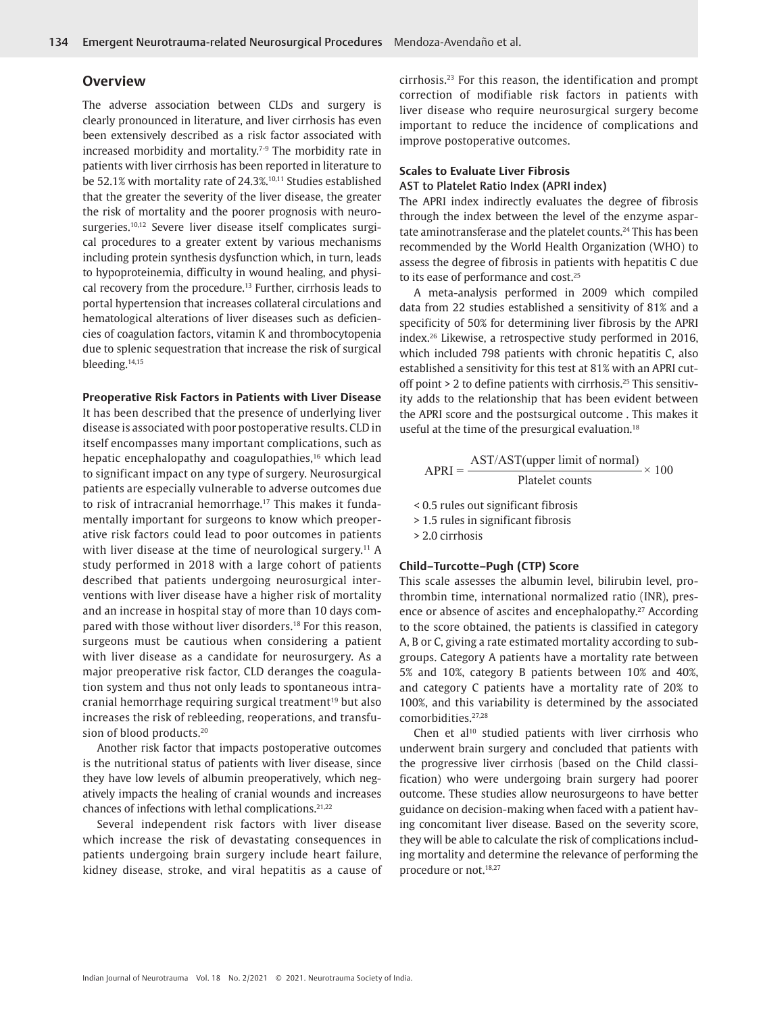### **Overview**

The adverse association between CLDs and surgery is clearly pronounced in literature, and liver cirrhosis has even been extensively described as a risk factor associated with increased morbidity and mortality.7-9 The morbidity rate in patients with liver cirrhosis has been reported in literature to be 52.1% with mortality rate of 24.3%.10,11 Studies established that the greater the severity of the liver disease, the greater the risk of mortality and the poorer prognosis with neurosurgeries.<sup>10,12</sup> Severe liver disease itself complicates surgical procedures to a greater extent by various mechanisms including protein synthesis dysfunction which, in turn, leads to hypoproteinemia, difficulty in wound healing, and physical recovery from the procedure.<sup>13</sup> Further, cirrhosis leads to portal hypertension that increases collateral circulations and hematological alterations of liver diseases such as deficiencies of coagulation factors, vitamin K and thrombocytopenia due to splenic sequestration that increase the risk of surgical bleeding.14,15

#### **Preoperative Risk Factors in Patients with Liver Disease**

It has been described that the presence of underlying liver disease is associated with poor postoperative results. CLD in itself encompasses many important complications, such as hepatic encephalopathy and coagulopathies,<sup>16</sup> which lead to significant impact on any type of surgery. Neurosurgical patients are especially vulnerable to adverse outcomes due to risk of intracranial hemorrhage.<sup>17</sup> This makes it fundamentally important for surgeons to know which preoperative risk factors could lead to poor outcomes in patients with liver disease at the time of neurological surgery.<sup>11</sup> A study performed in 2018 with a large cohort of patients described that patients undergoing neurosurgical interventions with liver disease have a higher risk of mortality and an increase in hospital stay of more than 10 days compared with those without liver disorders.18 For this reason, surgeons must be cautious when considering a patient with liver disease as a candidate for neurosurgery. As a major preoperative risk factor, CLD deranges the coagulation system and thus not only leads to spontaneous intracranial hemorrhage requiring surgical treatment<sup>19</sup> but also increases the risk of rebleeding, reoperations, and transfusion of blood products.<sup>20</sup>

Another risk factor that impacts postoperative outcomes is the nutritional status of patients with liver disease, since they have low levels of albumin preoperatively, which negatively impacts the healing of cranial wounds and increases chances of infections with lethal complications.21,22

Several independent risk factors with liver disease which increase the risk of devastating consequences in patients undergoing brain surgery include heart failure, kidney disease, stroke, and viral hepatitis as a cause of cirrhosis.23 For this reason, the identification and prompt correction of modifiable risk factors in patients with liver disease who require neurosurgical surgery become important to reduce the incidence of complications and improve postoperative outcomes.

#### **Scales to Evaluate Liver Fibrosis**

#### AST to Platelet Ratio Index (APRI index)

The APRI index indirectly evaluates the degree of fibrosis through the index between the level of the enzyme aspartate aminotransferase and the platelet counts.<sup>24</sup> This has been recommended by the World Health Organization (WHO) to assess the degree of fibrosis in patients with hepatitis C due to its ease of performance and cost.<sup>25</sup>

A meta-analysis performed in 2009 which compiled data from 22 studies established a sensitivity of 81% and a specificity of 50% for determining liver fibrosis by the APRI index.26 Likewise, a retrospective study performed in 2016, which included 798 patients with chronic hepatitis C, also established a sensitivity for this test at 81% with an APRI cutoff point  $> 2$  to define patients with cirrhosis.<sup>25</sup> This sensitivity adds to the relationship that has been evident between the APRI score and the postsurgical outcome . This makes it useful at the time of the presurgical evaluation.<sup>18</sup>

$$
APRI = \frac{AST/AST(upper limit of normal)}{Platelet counts} \times 100
$$

< 0.5 rules out significant fibrosis

> 1.5 rules in significant fibrosis

> 2.0 cirrhosis

#### **Child–Turcotte–Pugh (CTP) Score**

This scale assesses the albumin level, bilirubin level, prothrombin time, international normalized ratio (INR), presence or absence of ascites and encephalopathy.<sup>27</sup> According to the score obtained, the patients is classified in category A, B or C, giving a rate estimated mortality according to subgroups. Category A patients have a mortality rate between 5% and 10%, category B patients between 10% and 40%, and category C patients have a mortality rate of 20% to 100%, and this variability is determined by the associated comorbidities.27,28

Chen et  $al^{10}$  studied patients with liver cirrhosis who underwent brain surgery and concluded that patients with the progressive liver cirrhosis (based on the Child classification) who were undergoing brain surgery had poorer outcome. These studies allow neurosurgeons to have better guidance on decision-making when faced with a patient having concomitant liver disease. Based on the severity score, they will be able to calculate the risk of complications including mortality and determine the relevance of performing the procedure or not.18,27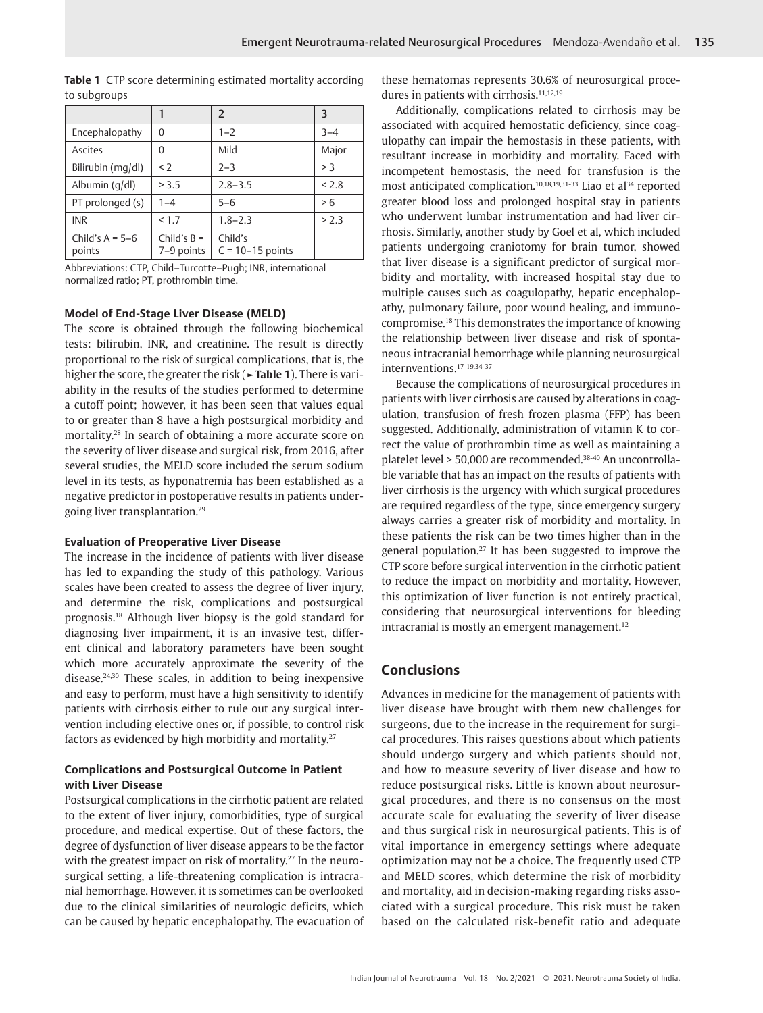to subgroups 1  $\vert 2 \vert$  3 Encephalopathy  $\begin{array}{|c|c|c|c|c|c|} \hline 0 & 1-2 & 3-4 \end{array}$ Ascites | 0 | Mild | Major Bilirubin (mg/dl)  $\begin{vmatrix} 2-3 \\ 3 \end{vmatrix}$  > 3 Albumin (q/dl)  $| > 3.5$   $| 2.8-3.5$   $| < 2.8$ 

PT prolonged (s)  $\begin{vmatrix} 1-4 \\ 5-6 \end{vmatrix}$  = 5  $\begin{vmatrix} 5-6 \\ 2 \end{vmatrix}$  > 6  $INR$   $|<1.7$   $|1.8-2.3$   $|>2.3$ 

Child's

 $C = 10-15$  points

**Table 1** CTP score determining estimated mortality according

Abbreviations: CTP, Child–Turcotte–Pugh; INR, international normalized ratio; PT, prothrombin time.

#### **Model of End-Stage Liver Disease (MELD)**

Child's  $B =$ 7–9 points

Child's  $A = 5-6$ points

The score is obtained through the following biochemical tests: bilirubin, INR, and creatinine. The result is directly proportional to the risk of surgical complications, that is, the higher the score, the greater the risk (**►Table 1**). There is variability in the results of the studies performed to determine a cutoff point; however, it has been seen that values equal to or greater than 8 have a high postsurgical morbidity and mortality.28 In search of obtaining a more accurate score on the severity of liver disease and surgical risk, from 2016, after several studies, the MELD score included the serum sodium level in its tests, as hyponatremia has been established as a negative predictor in postoperative results in patients undergoing liver transplantation.29

#### **Evaluation of Preoperative Liver Disease**

The increase in the incidence of patients with liver disease has led to expanding the study of this pathology. Various scales have been created to assess the degree of liver injury, and determine the risk, complications and postsurgical prognosis.18 Although liver biopsy is the gold standard for diagnosing liver impairment, it is an invasive test, different clinical and laboratory parameters have been sought which more accurately approximate the severity of the disease.24,30 These scales, in addition to being inexpensive and easy to perform, must have a high sensitivity to identify patients with cirrhosis either to rule out any surgical intervention including elective ones or, if possible, to control risk factors as evidenced by high morbidity and mortality.27

## **Complications and Postsurgical Outcome in Patient with Liver Disease**

Postsurgical complications in the cirrhotic patient are related to the extent of liver injury, comorbidities, type of surgical procedure, and medical expertise. Out of these factors, the degree of dysfunction of liver disease appears to be the factor with the greatest impact on risk of mortality.<sup>27</sup> In the neurosurgical setting, a life-threatening complication is intracranial hemorrhage. However, it is sometimes can be overlooked due to the clinical similarities of neurologic deficits, which can be caused by hepatic encephalopathy. The evacuation of these hematomas represents 30.6% of neurosurgical procedures in patients with cirrhosis.<sup>11,12,19</sup>

Additionally, complications related to cirrhosis may be associated with acquired hemostatic deficiency, since coagulopathy can impair the hemostasis in these patients, with resultant increase in morbidity and mortality. Faced with incompetent hemostasis, the need for transfusion is the most anticipated complication.<sup>10,18,19,31-33</sup> Liao et al<sup>34</sup> reported greater blood loss and prolonged hospital stay in patients who underwent lumbar instrumentation and had liver cirrhosis. Similarly, another study by Goel et al, which included patients undergoing craniotomy for brain tumor, showed that liver disease is a significant predictor of surgical morbidity and mortality, with increased hospital stay due to multiple causes such as coagulopathy, hepatic encephalopathy, pulmonary failure, poor wound healing, and immunocompromise.18 This demonstrates the importance of knowing the relationship between liver disease and risk of spontaneous intracranial hemorrhage while planning neurosurgical internventions.17-19,34-37

Because the complications of neurosurgical procedures in patients with liver cirrhosis are caused by alterations in coagulation, transfusion of fresh frozen plasma (FFP) has been suggested. Additionally, administration of vitamin K to correct the value of prothrombin time as well as maintaining a platelet level > 50,000 are recommended.38-40 An uncontrollable variable that has an impact on the results of patients with liver cirrhosis is the urgency with which surgical procedures are required regardless of the type, since emergency surgery always carries a greater risk of morbidity and mortality. In these patients the risk can be two times higher than in the general population.27 It has been suggested to improve the CTP score before surgical intervention in the cirrhotic patient to reduce the impact on morbidity and mortality. However, this optimization of liver function is not entirely practical, considering that neurosurgical interventions for bleeding intracranial is mostly an emergent management.<sup>12</sup>

# **Conclusions**

Advances in medicine for the management of patients with liver disease have brought with them new challenges for surgeons, due to the increase in the requirement for surgical procedures. This raises questions about which patients should undergo surgery and which patients should not, and how to measure severity of liver disease and how to reduce postsurgical risks. Little is known about neurosurgical procedures, and there is no consensus on the most accurate scale for evaluating the severity of liver disease and thus surgical risk in neurosurgical patients. This is of vital importance in emergency settings where adequate optimization may not be a choice. The frequently used CTP and MELD scores, which determine the risk of morbidity and mortality, aid in decision-making regarding risks associated with a surgical procedure. This risk must be taken based on the calculated risk-benefit ratio and adequate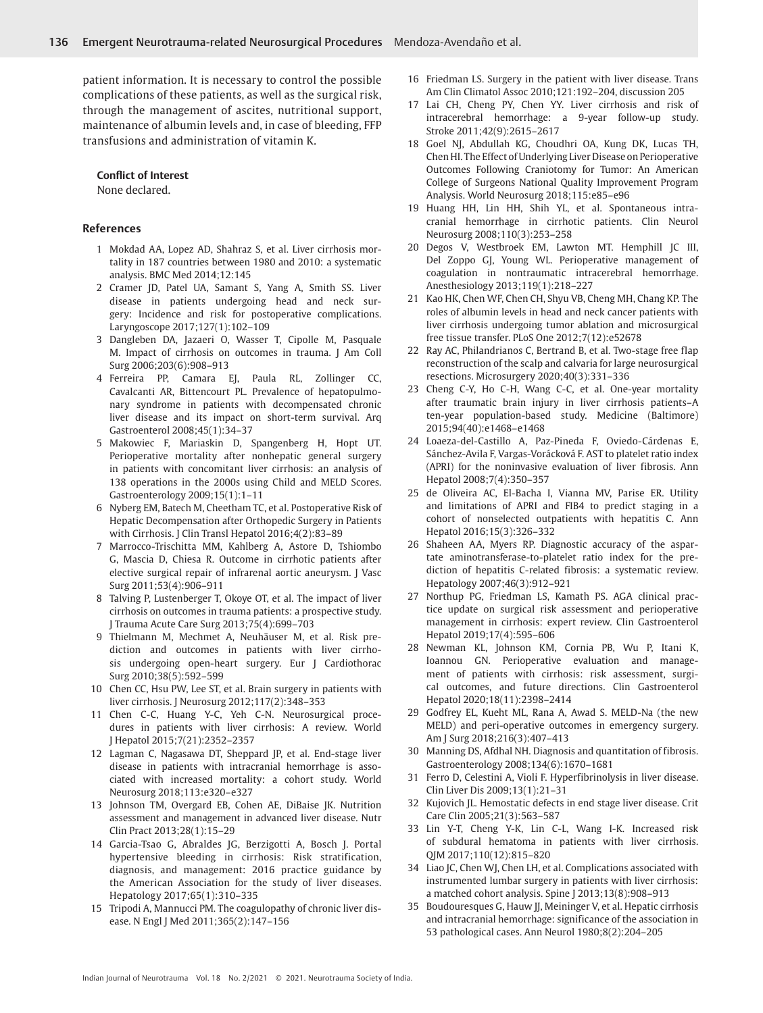patient information. It is necessary to control the possible complications of these patients, as well as the surgical risk, through the management of ascites, nutritional support, maintenance of albumin levels and, in case of bleeding, FFP transfusions and administration of vitamin K.

#### **Conflict of Interest**

None declared.

#### **References**

- 1 Mokdad AA, Lopez AD, Shahraz S, et al. Liver cirrhosis mortality in 187 countries between 1980 and 2010: a systematic analysis. BMC Med 2014;12:145
- 2 Cramer JD, Patel UA, Samant S, Yang A, Smith SS. Liver disease in patients undergoing head and neck surgery: Incidence and risk for postoperative complications. Laryngoscope 2017;127(1):102–109
- 3 Dangleben DA, Jazaeri O, Wasser T, Cipolle M, Pasquale M. Impact of cirrhosis on outcomes in trauma. J Am Coll Surg 2006;203(6):908–913
- 4 Ferreira PP, Camara EJ, Paula RL, Zollinger CC, Cavalcanti AR, Bittencourt PL. Prevalence of hepatopulmonary syndrome in patients with decompensated chronic liver disease and its impact on short-term survival. Arq Gastroenterol 2008;45(1):34–37
- 5 Makowiec F, Mariaskin D, Spangenberg H, Hopt UT. Perioperative mortality after nonhepatic general surgery in patients with concomitant liver cirrhosis: an analysis of 138 operations in the 2000s using Child and MELD Scores. Gastroenterology 2009;15(1):1–11
- 6 Nyberg EM, Batech M, Cheetham TC, et al. Postoperative Risk of Hepatic Decompensation after Orthopedic Surgery in Patients with Cirrhosis. J Clin Transl Hepatol 2016;4(2):83–89
- 7 Marrocco-Trischitta MM, Kahlberg A, Astore D, Tshiombo G, Mascia D, Chiesa R. Outcome in cirrhotic patients after elective surgical repair of infrarenal aortic aneurysm. J Vasc Surg 2011;53(4):906–911
- 8 Talving P, Lustenberger T, Okoye OT, et al. The impact of liver cirrhosis on outcomes in trauma patients: a prospective study. J Trauma Acute Care Surg 2013;75(4):699–703
- 9 Thielmann M, Mechmet A, Neuhäuser M, et al. Risk prediction and outcomes in patients with liver cirrhosis undergoing open-heart surgery. Eur J Cardiothorac Surg 2010;38(5):592–599
- 10 Chen CC, Hsu PW, Lee ST, et al. Brain surgery in patients with liver cirrhosis. J Neurosurg 2012;117(2):348–353
- 11 Chen C-C, Huang Y-C, Yeh C-N. Neurosurgical procedures in patients with liver cirrhosis: A review. World J Hepatol 2015;7(21):2352–2357
- 12 Lagman C, Nagasawa DT, Sheppard JP, et al. End-stage liver disease in patients with intracranial hemorrhage is associated with increased mortality: a cohort study. World Neurosurg 2018;113:e320–e327
- 13 Johnson TM, Overgard EB, Cohen AE, DiBaise JK. Nutrition assessment and management in advanced liver disease. Nutr Clin Pract 2013;28(1):15–29
- 14 Garcia-Tsao G, Abraldes JG, Berzigotti A, Bosch J. Portal hypertensive bleeding in cirrhosis: Risk stratification, diagnosis, and management: 2016 practice guidance by the American Association for the study of liver diseases. Hepatology 2017;65(1):310–335
- 15 Tripodi A, Mannucci PM. The coagulopathy of chronic liver disease. N Engl J Med 2011;365(2):147–156
- 16 Friedman LS. Surgery in the patient with liver disease. Trans Am Clin Climatol Assoc 2010;121:192–204, discussion 205
- 17 Lai CH, Cheng PY, Chen YY. Liver cirrhosis and risk of intracerebral hemorrhage: a 9-year follow-up study. Stroke 2011;42(9):2615–2617
- 18 Goel NJ, Abdullah KG, Choudhri OA, Kung DK, Lucas TH, Chen HI. The Effect of Underlying Liver Disease on Perioperative Outcomes Following Craniotomy for Tumor: An American College of Surgeons National Quality Improvement Program Analysis. World Neurosurg 2018;115:e85–e96
- 19 Huang HH, Lin HH, Shih YL, et al. Spontaneous intracranial hemorrhage in cirrhotic patients. Clin Neurol Neurosurg 2008;110(3):253–258
- 20 Degos V, Westbroek EM, Lawton MT. Hemphill JC III, Del Zoppo GJ, Young WL. Perioperative management of coagulation in nontraumatic intracerebral hemorrhage. Anesthesiology 2013;119(1):218–227
- 21 Kao HK, Chen WF, Chen CH, Shyu VB, Cheng MH, Chang KP. The roles of albumin levels in head and neck cancer patients with liver cirrhosis undergoing tumor ablation and microsurgical free tissue transfer. PLoS One 2012;7(12):e52678
- 22 Ray AC, Philandrianos C, Bertrand B, et al. Two-stage free flap reconstruction of the scalp and calvaria for large neurosurgical resections. Microsurgery 2020;40(3):331–336
- 23 Cheng C-Y, Ho C-H, Wang C-C, et al. One-year mortality after traumatic brain injury in liver cirrhosis patients–A ten-year population-based study. Medicine (Baltimore) 2015;94(40):e1468–e1468
- 24 Loaeza-del-Castillo A, Paz-Pineda F, Oviedo-Cárdenas E, Sánchez-Avila F, Vargas-Vorácková F. AST to platelet ratio index (APRI) for the noninvasive evaluation of liver fibrosis. Ann Hepatol 2008;7(4):350–357
- 25 de Oliveira AC, El-Bacha I, Vianna MV, Parise ER. Utility and limitations of APRI and FIB4 to predict staging in a cohort of nonselected outpatients with hepatitis C. Ann Hepatol 2016;15(3):326–332
- 26 Shaheen AA, Myers RP. Diagnostic accuracy of the aspartate aminotransferase-to-platelet ratio index for the prediction of hepatitis C-related fibrosis: a systematic review. Hepatology 2007;46(3):912–921
- 27 Northup PG, Friedman LS, Kamath PS. AGA clinical practice update on surgical risk assessment and perioperative management in cirrhosis: expert review. Clin Gastroenterol Hepatol 2019;17(4):595–606
- 28 Newman KL, Johnson KM, Cornia PB, Wu P, Itani K, Ioannou GN. Perioperative evaluation and management of patients with cirrhosis: risk assessment, surgical outcomes, and future directions. Clin Gastroenterol Hepatol 2020;18(11):2398–2414
- 29 Godfrey EL, Kueht ML, Rana A, Awad S. MELD-Na (the new MELD) and peri-operative outcomes in emergency surgery. Am J Surg 2018;216(3):407–413
- 30 Manning DS, Afdhal NH. Diagnosis and quantitation of fibrosis. Gastroenterology 2008;134(6):1670–1681
- 31 Ferro D, Celestini A, Violi F. Hyperfibrinolysis in liver disease. Clin Liver Dis 2009;13(1):21–31
- 32 Kujovich JL. Hemostatic defects in end stage liver disease. Crit Care Clin 2005;21(3):563–587
- 33 Lin Y-T, Cheng Y-K, Lin C-L, Wang I-K. Increased risk of subdural hematoma in patients with liver cirrhosis. QJM 2017;110(12):815–820
- 34 Liao JC, Chen WJ, Chen LH, et al. Complications associated with instrumented lumbar surgery in patients with liver cirrhosis: a matched cohort analysis. Spine J 2013;13(8):908–913
- 35 Boudouresques G, Hauw JJ, Meininger V, et al. Hepatic cirrhosis and intracranial hemorrhage: significance of the association in 53 pathological cases. Ann Neurol 1980;8(2):204–205